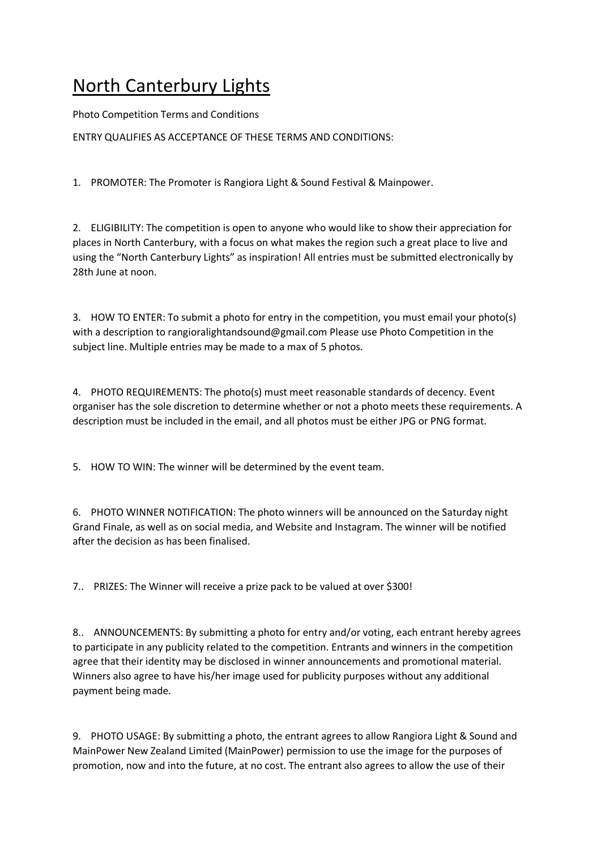## North Canterbury Lights

Photo Competition Terms and Conditions

ENTRY QUALIFIES AS ACCEPTANCE OF THESE TERMS AND CONDITIONS:

1. PROMOTER: The Promoter is Rangiora Light & Sound Festival & Mainpower.

2. ELIGIBILITY: The competition is open to anyone who would like to show their appreciation for places in North Canterbury, with a focus on what makes the region such a great place to live and using the "North Canterbury Lights" as inspiration! All entries must be submitted electronically by 28th June at noon.

3. HOW TO ENTER: To submit a photo for entry in the competition, you must email your photo(s) with a description to rangioralightandsound@gmail.com Please use Photo Competition in the subject line. Multiple entries may be made to a max of 5 photos.

4. PHOTO REQUIREMENTS: The photo(s) must meet reasonable standards of decency. Event organiser has the sole discretion to determine whether or not a photo meets these requirements. A description must be included in the email, and all photos must be either JPG or PNG format.

5. HOW TO WIN: The winner will be determined by the event team.

6. PHOTO WINNER NOTIFICATION: The photo winners will be announced on the Saturday night Grand Finale, as well as on social media, and Website and Instagram. The winner will be notified after the decision as has been finalised.

7.. PRIZES: The Winner will receive a prize pack to be valued at over \$300!

8.. ANNOUNCEMENTS: By submitting a photo for entry and/or voting, each entrant hereby agrees to participate in any publicity related to the competition. Entrants and winners in the competition agree that their identity may be disclosed in winner announcements and promotional material. Winners also agree to have his/her image used for publicity purposes without any additional payment being made.

9. PHOTO USAGE: By submitting a photo, the entrant agrees to allow Rangiora Light & Sound and MainPower New Zealand Limited (MainPower) permission to use the image for the purposes of promotion, now and into the future, at no cost. The entrant also agrees to allow the use of their